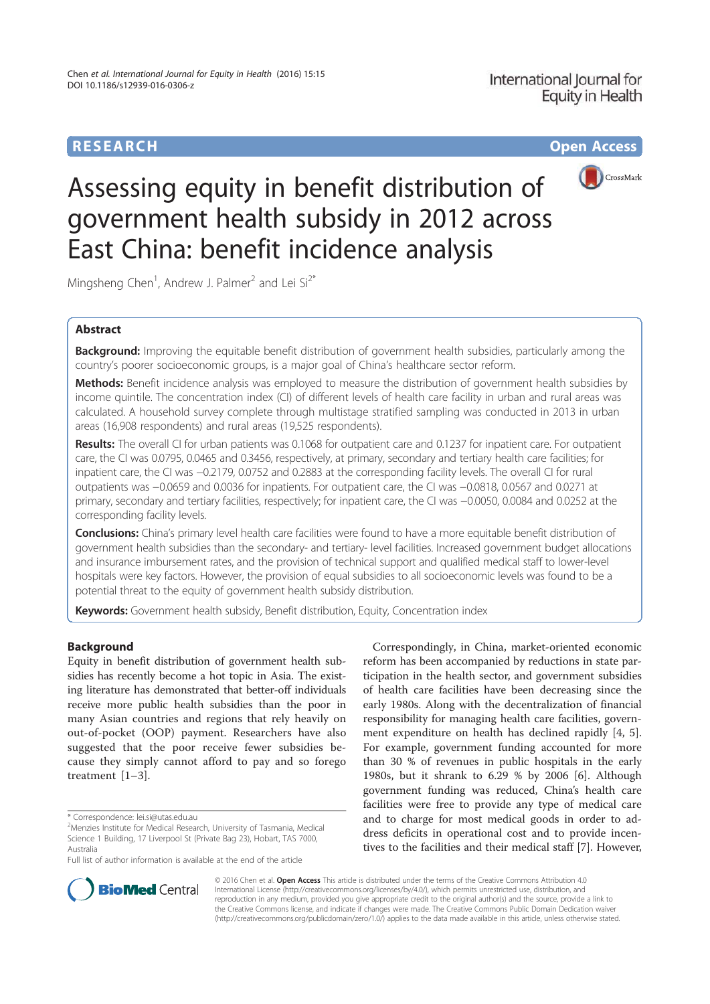## **RESEARCH CHILD CONTROL** CONTROL CONTROL CONTROL CONTROL CONTROL CONTROL CONTROL CONTROL CONTROL CONTROL CONTROL CONTROL CONTROL CONTROL CONTROL CONTROL CONTROL CONTROL CONTROL CONTROL CONTROL CONTROL CONTROL CONTROL CONTR

International Journal for Equity in Health



# Assessing equity in benefit distribution of government health subsidy in 2012 across East China: benefit incidence analysis

Mingsheng Chen<sup>1</sup>, Andrew J. Palmer<sup>2</sup> and Lei Si<sup>2\*</sup>

## **Abstract**

**Background:** Improving the equitable benefit distribution of government health subsidies, particularly among the country's poorer socioeconomic groups, is a major goal of China's healthcare sector reform.

Methods: Benefit incidence analysis was employed to measure the distribution of government health subsidies by income quintile. The concentration index (CI) of different levels of health care facility in urban and rural areas was calculated. A household survey complete through multistage stratified sampling was conducted in 2013 in urban areas (16,908 respondents) and rural areas (19,525 respondents).

Results: The overall CI for urban patients was 0.1068 for outpatient care and 0.1237 for inpatient care. For outpatient care, the CI was 0.0795, 0.0465 and 0.3456, respectively, at primary, secondary and tertiary health care facilities; for inpatient care, the CI was −0.2179, 0.0752 and 0.2883 at the corresponding facility levels. The overall CI for rural outpatients was −0.0659 and 0.0036 for inpatients. For outpatient care, the CI was −0.0818, 0.0567 and 0.0271 at primary, secondary and tertiary facilities, respectively; for inpatient care, the CI was −0.0050, 0.0084 and 0.0252 at the corresponding facility levels.

Conclusions: China's primary level health care facilities were found to have a more equitable benefit distribution of government health subsidies than the secondary- and tertiary- level facilities. Increased government budget allocations and insurance imbursement rates, and the provision of technical support and qualified medical staff to lower-level hospitals were key factors. However, the provision of equal subsidies to all socioeconomic levels was found to be a potential threat to the equity of government health subsidy distribution.

Keywords: Government health subsidy, Benefit distribution, Equity, Concentration index

## Background

Equity in benefit distribution of government health subsidies has recently become a hot topic in Asia. The existing literature has demonstrated that better-off individuals receive more public health subsidies than the poor in many Asian countries and regions that rely heavily on out-of-pocket (OOP) payment. Researchers have also suggested that the poor receive fewer subsidies because they simply cannot afford to pay and so forego treatment [1–3].

Full list of author information is available at the end of the article

Correspondingly, in China, market-oriented economic reform has been accompanied by reductions in state participation in the health sector, and government subsidies of health care facilities have been decreasing since the early 1980s. Along with the decentralization of financial responsibility for managing health care facilities, government expenditure on health has declined rapidly [4, 5]. For example, government funding accounted for more than 30 % of revenues in public hospitals in the early 1980s, but it shrank to 6.29 % by 2006 [6]. Although government funding was reduced, China's health care facilities were free to provide any type of medical care and to charge for most medical goods in order to address deficits in operational cost and to provide incentives to the facilities and their medical staff [7]. However,



© 2016 Chen et al. Open Access This article is distributed under the terms of the Creative Commons Attribution 4.0 International License (http://creativecommons.org/licenses/by/4.0/), which permits unrestricted use, distribution, and reproduction in any medium, provided you give appropriate credit to the original author(s) and the source, provide a link to the Creative Commons license, and indicate if changes were made. The Creative Commons Public Domain Dedication waiver (http://creativecommons.org/publicdomain/zero/1.0/) applies to the data made available in this article, unless otherwise stated.

<sup>\*</sup> Correspondence: lei.si@utas.edu.au

<sup>&</sup>lt;sup>2</sup>Menzies Institute for Medical Research, University of Tasmania, Medical Science 1 Building, 17 Liverpool St (Private Bag 23), Hobart, TAS 7000, Australia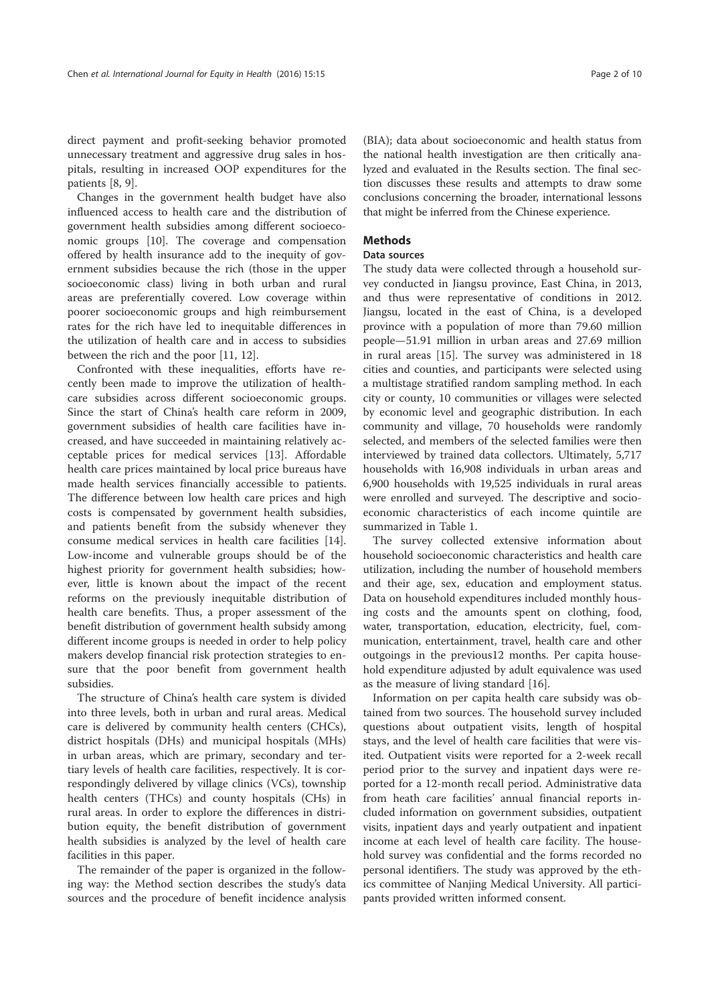direct payment and profit-seeking behavior promoted unnecessary treatment and aggressive drug sales in hospitals, resulting in increased OOP expenditures for the patients [8, 9].

Changes in the government health budget have also influenced access to health care and the distribution of government health subsidies among different socioeconomic groups [10]. The coverage and compensation offered by health insurance add to the inequity of government subsidies because the rich (those in the upper socioeconomic class) living in both urban and rural areas are preferentially covered. Low coverage within poorer socioeconomic groups and high reimbursement rates for the rich have led to inequitable differences in the utilization of health care and in access to subsidies between the rich and the poor [11, 12].

Confronted with these inequalities, efforts have recently been made to improve the utilization of healthcare subsidies across different socioeconomic groups. Since the start of China's health care reform in 2009, government subsidies of health care facilities have increased, and have succeeded in maintaining relatively acceptable prices for medical services [13]. Affordable health care prices maintained by local price bureaus have made health services financially accessible to patients. The difference between low health care prices and high costs is compensated by government health subsidies, and patients benefit from the subsidy whenever they consume medical services in health care facilities [14]. Low-income and vulnerable groups should be of the highest priority for government health subsidies; however, little is known about the impact of the recent reforms on the previously inequitable distribution of health care benefits. Thus, a proper assessment of the benefit distribution of government health subsidy among different income groups is needed in order to help policy makers develop financial risk protection strategies to ensure that the poor benefit from government health subsidies.

The structure of China's health care system is divided into three levels, both in urban and rural areas. Medical care is delivered by community health centers (CHCs), district hospitals (DHs) and municipal hospitals (MHs) in urban areas, which are primary, secondary and tertiary levels of health care facilities, respectively. It is correspondingly delivered by village clinics (VCs), township health centers (THCs) and county hospitals (CHs) in rural areas. In order to explore the differences in distribution equity, the benefit distribution of government health subsidies is analyzed by the level of health care facilities in this paper.

The remainder of the paper is organized in the following way: the Method section describes the study's data sources and the procedure of benefit incidence analysis (BIA); data about socioeconomic and health status from the national health investigation are then critically analyzed and evaluated in the Results section. The final section discusses these results and attempts to draw some conclusions concerning the broader, international lessons that might be inferred from the Chinese experience.

## **Methods**

### Data sources

The study data were collected through a household survey conducted in Jiangsu province, East China, in 2013, and thus were representative of conditions in 2012. Jiangsu, located in the east of China, is a developed province with a population of more than 79.60 million people—51.91 million in urban areas and 27.69 million in rural areas [15]. The survey was administered in 18 cities and counties, and participants were selected using a multistage stratified random sampling method. In each city or county, 10 communities or villages were selected by economic level and geographic distribution. In each community and village, 70 households were randomly selected, and members of the selected families were then interviewed by trained data collectors. Ultimately, 5,717 households with 16,908 individuals in urban areas and 6,900 households with 19,525 individuals in rural areas were enrolled and surveyed. The descriptive and socioeconomic characteristics of each income quintile are summarized in Table 1.

The survey collected extensive information about household socioeconomic characteristics and health care utilization, including the number of household members and their age, sex, education and employment status. Data on household expenditures included monthly housing costs and the amounts spent on clothing, food, water, transportation, education, electricity, fuel, communication, entertainment, travel, health care and other outgoings in the previous12 months. Per capita household expenditure adjusted by adult equivalence was used as the measure of living standard [16].

Information on per capita health care subsidy was obtained from two sources. The household survey included questions about outpatient visits, length of hospital stays, and the level of health care facilities that were visited. Outpatient visits were reported for a 2-week recall period prior to the survey and inpatient days were reported for a 12-month recall period. Administrative data from heath care facilities' annual financial reports included information on government subsidies, outpatient visits, inpatient days and yearly outpatient and inpatient income at each level of health care facility. The household survey was confidential and the forms recorded no personal identifiers. The study was approved by the ethics committee of Nanjing Medical University. All participants provided written informed consent.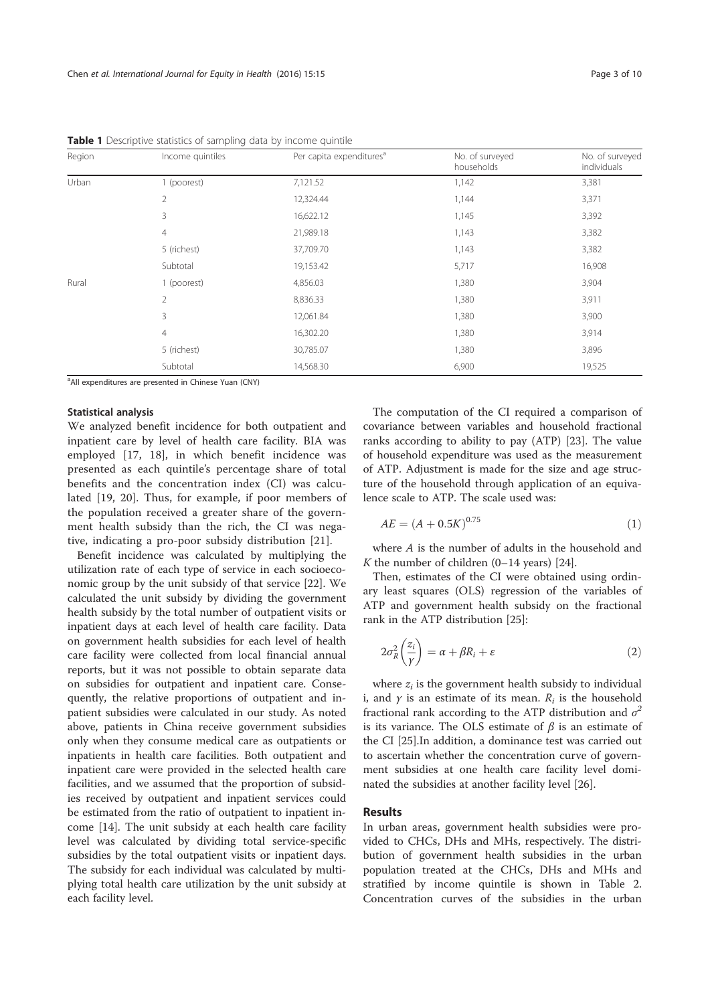| Region | Income quintiles | Per capita expenditures <sup>a</sup> | No. of surveyed<br>households | No. of surveyed<br>individuals |
|--------|------------------|--------------------------------------|-------------------------------|--------------------------------|
| Urban  | 1 (poorest)      | 7,121.52                             | 1,142                         | 3,381                          |
|        | $\overline{2}$   | 12,324.44                            | 1,144                         | 3,371                          |
|        | 3                | 16,622.12                            | 1,145                         | 3,392                          |
|        | $\overline{4}$   | 21,989.18                            | 1,143                         | 3,382                          |
|        | 5 (richest)      | 37,709.70                            | 1,143                         | 3,382                          |
|        | Subtotal         | 19,153.42                            | 5,717                         | 16,908                         |
| Rural  | 1 (poorest)      | 4,856.03                             | 1,380                         | 3,904                          |
|        | $\overline{2}$   | 8,836.33                             | 1,380                         | 3,911                          |
|        | 3                | 12,061.84                            | 1,380                         | 3,900                          |
|        | $\overline{4}$   | 16,302.20                            | 1,380                         | 3,914                          |
|        | 5 (richest)      | 30,785.07                            | 1,380                         | 3,896                          |
|        | Subtotal         | 14,568.30                            | 6,900                         | 19,525                         |

Table 1 Descriptive statistics of sampling data by income quintile

<sup>a</sup> All expenditures are presented in Chinese Yuan (CNY)

#### Statistical analysis

We analyzed benefit incidence for both outpatient and inpatient care by level of health care facility. BIA was employed [17, 18], in which benefit incidence was presented as each quintile's percentage share of total benefits and the concentration index (CI) was calculated [19, 20]. Thus, for example, if poor members of the population received a greater share of the government health subsidy than the rich, the CI was negative, indicating a pro-poor subsidy distribution [21].

Benefit incidence was calculated by multiplying the utilization rate of each type of service in each socioeconomic group by the unit subsidy of that service [22]. We calculated the unit subsidy by dividing the government health subsidy by the total number of outpatient visits or inpatient days at each level of health care facility. Data on government health subsidies for each level of health care facility were collected from local financial annual reports, but it was not possible to obtain separate data on subsidies for outpatient and inpatient care. Consequently, the relative proportions of outpatient and inpatient subsidies were calculated in our study. As noted above, patients in China receive government subsidies only when they consume medical care as outpatients or inpatients in health care facilities. Both outpatient and inpatient care were provided in the selected health care facilities, and we assumed that the proportion of subsidies received by outpatient and inpatient services could be estimated from the ratio of outpatient to inpatient income [14]. The unit subsidy at each health care facility level was calculated by dividing total service-specific subsidies by the total outpatient visits or inpatient days. The subsidy for each individual was calculated by multiplying total health care utilization by the unit subsidy at each facility level.

The computation of the CI required a comparison of covariance between variables and household fractional ranks according to ability to pay (ATP) [23]. The value of household expenditure was used as the measurement of ATP. Adjustment is made for the size and age structure of the household through application of an equivalence scale to ATP. The scale used was:

$$
AE = (A + 0.5K)^{0.75}
$$
 (1)

where A is the number of adults in the household and K the number of children  $(0-14 \text{ years})$  [24].

Then, estimates of the CI were obtained using ordinary least squares (OLS) regression of the variables of ATP and government health subsidy on the fractional rank in the ATP distribution [25]:

$$
2\sigma_R^2\left(\frac{z_i}{\gamma}\right) = \alpha + \beta R_i + \varepsilon \tag{2}
$$

where  $z_i$  is the government health subsidy to individual i, and  $\gamma$  is an estimate of its mean.  $R_i$  is the household fractional rank according to the ATP distribution and  $\sigma^2$ is its variance. The OLS estimate of  $\beta$  is an estimate of the CI [25].In addition, a dominance test was carried out to ascertain whether the concentration curve of government subsidies at one health care facility level dominated the subsidies at another facility level [26].

#### Results

In urban areas, government health subsidies were provided to CHCs, DHs and MHs, respectively. The distribution of government health subsidies in the urban population treated at the CHCs, DHs and MHs and stratified by income quintile is shown in Table 2. Concentration curves of the subsidies in the urban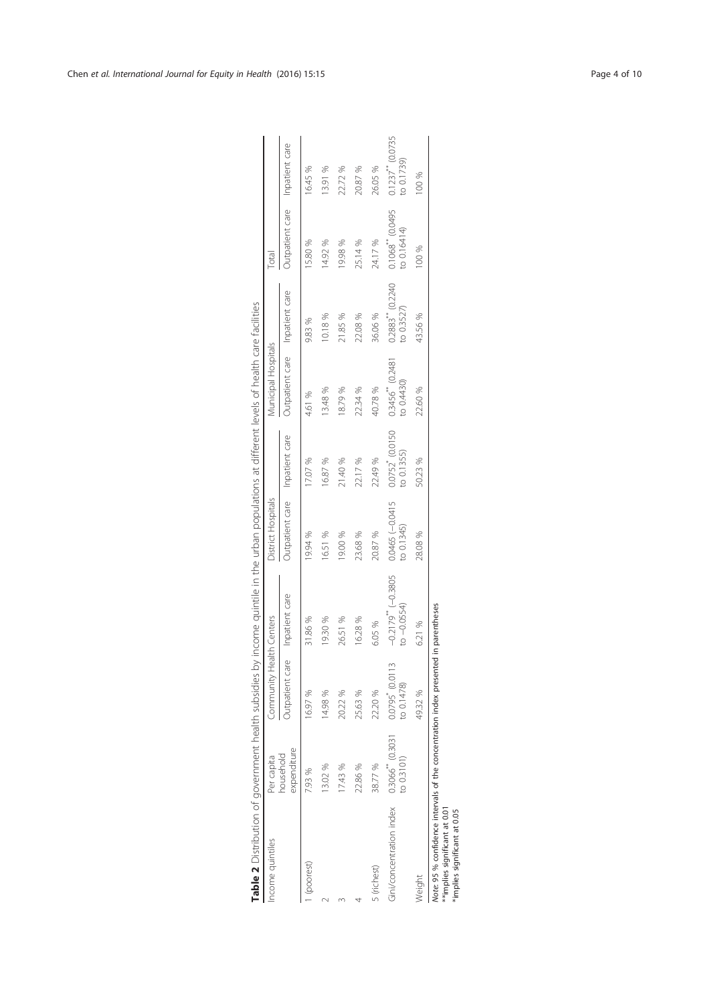| Income quintiles         | Per capita                  | community Health Centers |                                      | District Hospitals             |                            | Municipal Hospitals            |                               | <b>Total</b>              |                              |
|--------------------------|-----------------------------|--------------------------|--------------------------------------|--------------------------------|----------------------------|--------------------------------|-------------------------------|---------------------------|------------------------------|
|                          | expenditure<br>household    | Jutpatient care          | Inpatient care                       | Outpatient care Inpatient care |                            | Outpatient care Inpatient care |                               | Outpatient care           | Inpatient care               |
| (poorest)                | 7.93 %                      | 6.97%                    | 31.86 %                              | 19.94 %                        | 06 /07/1                   | 4.61 %                         | 9.83 %                        | 15.80 %                   | 16.45 %                      |
|                          | 13.02 %                     | 4.98%                    | 19.30 %                              | 16.51 %                        | 16.87 %                    | 13.48 %                        | 10.18%                        | 4.92 %                    | 13.91 %                      |
|                          | 17.43 %                     | 20.22 %                  | 26.51 %                              | 19.00 %                        | 21.40 %                    | 8.79 %                         | 21.85 %                       | 9.98%                     | 22.72 %                      |
|                          | 22.86 %                     | 25.63 %                  | 16.28 %                              | 23.68 %                        | 22.17 %                    | 22.34 %                        | 22.08 %                       | 25.14 %                   | 20.87 %                      |
| (richest)                | 38.77 %                     | 22.20 %                  | 6.05 %                               | 20.87 %                        | 22.49 %                    | 40.78 %                        | 36.06 %                       | 24.17%                    | 26.05 %                      |
| Gini/concentration index | 0.3066 (0.3031<br>10(13101) | 0.0795 (0.0113<br>0.1478 | $-0.2179$ $(-0.3805$<br>$to -0.0554$ | $0.0465(-0.0415$<br>100.1345   | 0.0752 (0.0150<br>(0.1355) | 0.3456 (0.2481<br>0.4430       | 0.2883 (0.2240)<br>to 0.3527) | 0.1068 (0.0495<br>0.16414 | 0.1237 (0.0735<br>(65(1.100) |
| Neight                   |                             | 49.32 %                  | 6.21 %                               | 28.08 %                        | 50.23 %                    | 22.60 %                        | 43.56 %                       | 100 %                     | 100 %                        |

\*\*implies significant at 0.01<br>\*implies significant at 0.05 \*implies significant at 0.05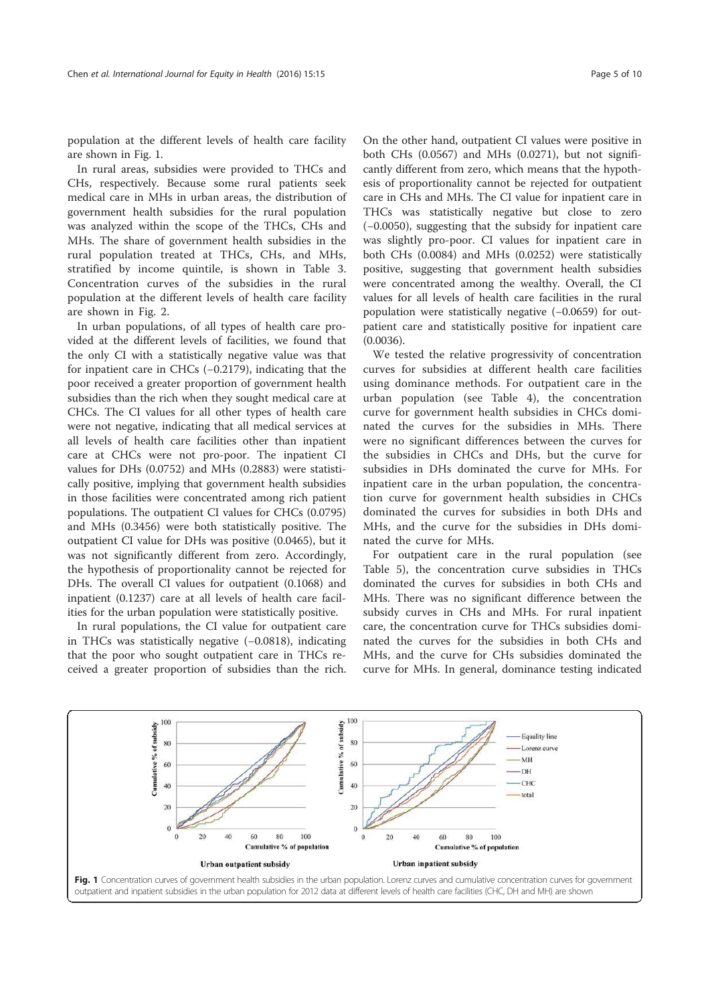population at the different levels of health care facility are shown in Fig. 1.

In rural areas, subsidies were provided to THCs and CHs, respectively. Because some rural patients seek medical care in MHs in urban areas, the distribution of government health subsidies for the rural population was analyzed within the scope of the THCs, CHs and MHs. The share of government health subsidies in the rural population treated at THCs, CHs, and MHs, stratified by income quintile, is shown in Table 3. Concentration curves of the subsidies in the rural population at the different levels of health care facility are shown in Fig. 2.

In urban populations, of all types of health care provided at the different levels of facilities, we found that the only CI with a statistically negative value was that for inpatient care in CHCs (−0.2179), indicating that the poor received a greater proportion of government health subsidies than the rich when they sought medical care at CHCs. The CI values for all other types of health care were not negative, indicating that all medical services at all levels of health care facilities other than inpatient care at CHCs were not pro-poor. The inpatient CI values for DHs (0.0752) and MHs (0.2883) were statistically positive, implying that government health subsidies in those facilities were concentrated among rich patient populations. The outpatient CI values for CHCs (0.0795) and MHs (0.3456) were both statistically positive. The outpatient CI value for DHs was positive (0.0465), but it was not significantly different from zero. Accordingly, the hypothesis of proportionality cannot be rejected for DHs. The overall CI values for outpatient (0.1068) and inpatient (0.1237) care at all levels of health care facilities for the urban population were statistically positive.

In rural populations, the CI value for outpatient care in THCs was statistically negative (−0.0818), indicating that the poor who sought outpatient care in THCs received a greater proportion of subsidies than the rich. On the other hand, outpatient CI values were positive in both CHs (0.0567) and MHs (0.0271), but not significantly different from zero, which means that the hypothesis of proportionality cannot be rejected for outpatient care in CHs and MHs. The CI value for inpatient care in THCs was statistically negative but close to zero (−0.0050), suggesting that the subsidy for inpatient care was slightly pro-poor. CI values for inpatient care in both CHs (0.0084) and MHs (0.0252) were statistically positive, suggesting that government health subsidies were concentrated among the wealthy. Overall, the CI values for all levels of health care facilities in the rural population were statistically negative (−0.0659) for outpatient care and statistically positive for inpatient care (0.0036).

We tested the relative progressivity of concentration curves for subsidies at different health care facilities using dominance methods. For outpatient care in the urban population (see Table 4), the concentration curve for government health subsidies in CHCs dominated the curves for the subsidies in MHs. There were no significant differences between the curves for the subsidies in CHCs and DHs, but the curve for subsidies in DHs dominated the curve for MHs. For inpatient care in the urban population, the concentration curve for government health subsidies in CHCs dominated the curves for subsidies in both DHs and MHs, and the curve for the subsidies in DHs dominated the curve for MHs.

For outpatient care in the rural population (see Table 5), the concentration curve subsidies in THCs dominated the curves for subsidies in both CHs and MHs. There was no significant difference between the subsidy curves in CHs and MHs. For rural inpatient care, the concentration curve for THCs subsidies dominated the curves for the subsidies in both CHs and MHs, and the curve for CHs subsidies dominated the curve for MHs. In general, dominance testing indicated

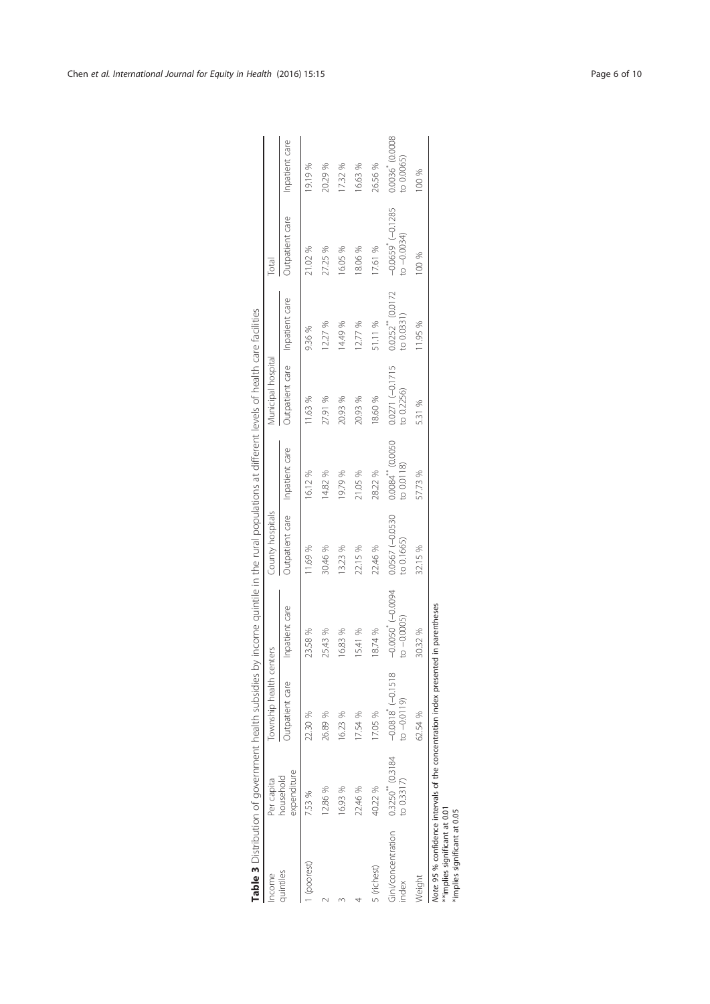|                                                               |                               |                                                                                     | <b>CONSTRUCTED AND A CONSTRUCTED AND A CONSTRUCTED AND A CONSTRUCTED AND A CONSTRUCTED AND A CONSTRUCTED AND A CONSTRUCTED AND A CONSTRUCTED AND A CONSTRUCTED AT A CONSTRUCTED AND A CONSTRUCTED AT A CONSTRUCTED AND A CONSTRU</b> |                                 |                          |                                |                                   |                                       |                            |
|---------------------------------------------------------------|-------------------------------|-------------------------------------------------------------------------------------|--------------------------------------------------------------------------------------------------------------------------------------------------------------------------------------------------------------------------------------|---------------------------------|--------------------------|--------------------------------|-----------------------------------|---------------------------------------|----------------------------|
| ncome                                                         | Per capita                    | Township health centers                                                             |                                                                                                                                                                                                                                      | County hospitals                |                          | Municipal hospital             |                                   | <b>Total</b>                          |                            |
| quintiles                                                     | expenditure<br>household      | Outpatient care                                                                     | Inpatient care                                                                                                                                                                                                                       | Outpatient care Inpatient care  |                          | Outpatient care Inpatient care |                                   | Outpatient care                       | Inpatient care             |
| (poorest)                                                     | 7.53 %                        | 22.30 %                                                                             | 23.58 %                                                                                                                                                                                                                              | 1.69 %                          | 16.12%                   | 11.63%                         | 9.36 %                            | 21.02 %                               | 19.19%                     |
|                                                               | 0.86%                         | 26.89 %                                                                             | 25.43 %                                                                                                                                                                                                                              | 30.46 %                         | 14.82 %                  | 27.91 %                        | 12.27%                            | 27.25 %                               | 20.29 %                    |
|                                                               | 16.93%                        | 16.23 %                                                                             | 16.83 %                                                                                                                                                                                                                              | 3.23 %                          | 19.79 %                  | 20.93 %                        | 4.49 %                            | 16.05 %                               | 17.32 %                    |
|                                                               | 22.46 %                       | 7.54 %                                                                              | 15.41 %                                                                                                                                                                                                                              | 22.15 %                         | 21.05 %                  | 20.93 %                        | 12.77 %                           | 18.06 %                               | 16.63 %                    |
| 5 (richest)                                                   | 40.22 %                       | 7.05 %                                                                              | 18.74 %                                                                                                                                                                                                                              | 22.46 %                         | 28.22 %                  | 18.60 %                        | 51.11 %                           | 7.61 %                                | 26.56 %                    |
| Gini/concentration<br>index                                   | $0.3250$ $(0.3184$<br>10.3317 | $-0.0818$ $(-0.1518$<br>$\frac{100 - 0.0119}{2}$                                    | $-0.0050$ ( $-0.0094$<br>$to -0.0005$ )                                                                                                                                                                                              | $0.0567 (-0.0530$<br>to 0.1665) | 0.0084 (0.0050<br>100118 | 0.0271 (-0.1715)<br>0.2256     | $0.0252$ $(0.0172)$<br>to 0.0331) | $-0.0659$ $(-0.1285$<br>$10 - 0.0034$ | 0.0036 (0.0008<br>(0.0065) |
| <b>Neight</b>                                                 |                               | 62.54 %                                                                             | 30.32 %                                                                                                                                                                                                                              | 32.15 %                         | 57.73 %                  | 5.31 %                         | 11.95 %                           | NOO %                                 | 100 %                      |
| **implies significant at 0.01<br>*implies significant at 0.05 |                               | Note: 95 % confidence intervals of the concentration index presented in parentheses |                                                                                                                                                                                                                                      |                                 |                          |                                |                                   |                                       |                            |

Table 3 Distribution of government health subsidies by income quintile in the rural populations at different levels of health care facilities Table 3 Distribution of government health subsidies by income quintile in the rural populations at different levels of health care facilities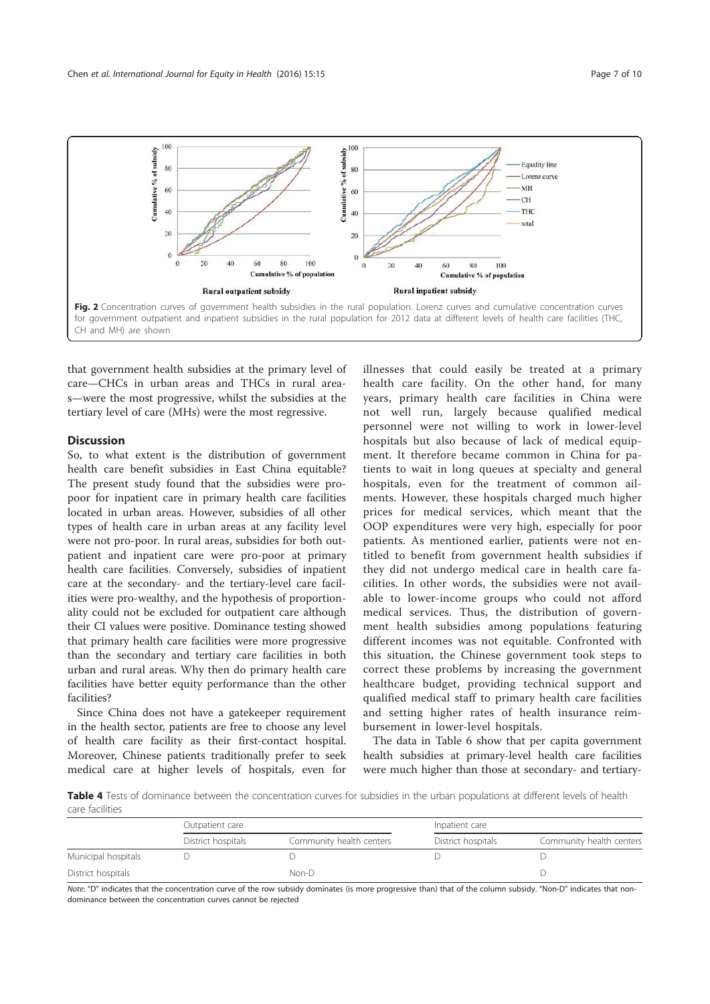

that government health subsidies at the primary level of care—CHCs in urban areas and THCs in rural areas—were the most progressive, whilst the subsidies at the tertiary level of care (MHs) were the most regressive.

## Discussion

So, to what extent is the distribution of government health care benefit subsidies in East China equitable? The present study found that the subsidies were propoor for inpatient care in primary health care facilities located in urban areas. However, subsidies of all other types of health care in urban areas at any facility level were not pro-poor. In rural areas, subsidies for both outpatient and inpatient care were pro-poor at primary health care facilities. Conversely, subsidies of inpatient care at the secondary- and the tertiary-level care facilities were pro-wealthy, and the hypothesis of proportionality could not be excluded for outpatient care although their CI values were positive. Dominance testing showed that primary health care facilities were more progressive than the secondary and tertiary care facilities in both urban and rural areas. Why then do primary health care facilities have better equity performance than the other facilities?

Since China does not have a gatekeeper requirement in the health sector, patients are free to choose any level of health care facility as their first-contact hospital. Moreover, Chinese patients traditionally prefer to seek medical care at higher levels of hospitals, even for illnesses that could easily be treated at a primary health care facility. On the other hand, for many years, primary health care facilities in China were not well run, largely because qualified medical personnel were not willing to work in lower-level hospitals but also because of lack of medical equipment. It therefore became common in China for patients to wait in long queues at specialty and general hospitals, even for the treatment of common ailments. However, these hospitals charged much higher prices for medical services, which meant that the OOP expenditures were very high, especially for poor patients. As mentioned earlier, patients were not entitled to benefit from government health subsidies if they did not undergo medical care in health care facilities. In other words, the subsidies were not available to lower-income groups who could not afford medical services. Thus, the distribution of government health subsidies among populations featuring different incomes was not equitable. Confronted with this situation, the Chinese government took steps to correct these problems by increasing the government healthcare budget, providing technical support and qualified medical staff to primary health care facilities and setting higher rates of health insurance reimbursement in lower-level hospitals.

The data in Table 6 show that per capita government health subsidies at primary-level health care facilities were much higher than those at secondary- and tertiary-

Table 4 Tests of dominance between the concentration curves for subsidies in the urban populations at different levels of health care facilities

|                     | Outpatient care    |                          | Inpatient care     |                          |
|---------------------|--------------------|--------------------------|--------------------|--------------------------|
|                     | District hospitals | Community health centers | District hospitals | Community health centers |
| Municipal hospitals |                    |                          |                    |                          |
| District hospitals  |                    | $Non-D$                  |                    |                          |

Note: "D" indicates that the concentration curve of the row subsidy dominates (is more progressive than) that of the column subsidy. "Non-D" indicates that nondominance between the concentration curves cannot be rejected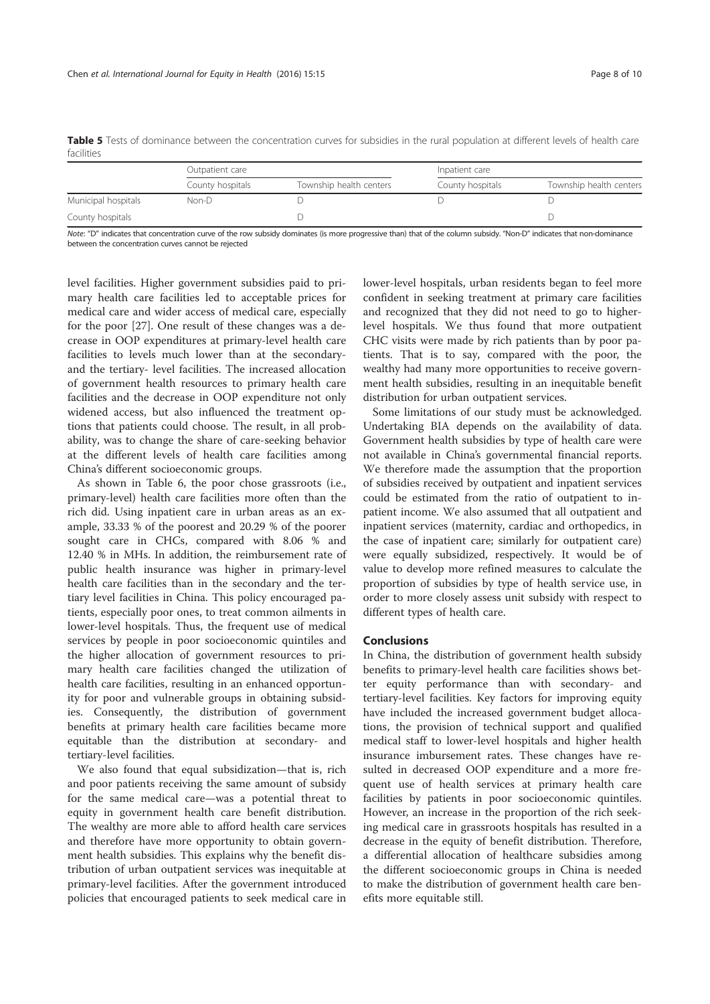Table 5 Tests of dominance between the concentration curves for subsidies in the rural population at different levels of health care facilities

|                     | Outpatient care  |                         | Inpatient care   |                         |
|---------------------|------------------|-------------------------|------------------|-------------------------|
|                     | County hospitals | Township health centers | County hospitals | Township health centers |
| Municipal hospitals | $Non-D$          |                         |                  |                         |
| County hospitals    |                  |                         |                  |                         |

Note: "D" indicates that concentration curve of the row subsidy dominates (is more progressive than) that of the column subsidy. "Non-D" indicates that non-dominance between the concentration curves cannot be rejected

level facilities. Higher government subsidies paid to primary health care facilities led to acceptable prices for medical care and wider access of medical care, especially for the poor [27]. One result of these changes was a decrease in OOP expenditures at primary-level health care facilities to levels much lower than at the secondaryand the tertiary- level facilities. The increased allocation of government health resources to primary health care facilities and the decrease in OOP expenditure not only widened access, but also influenced the treatment options that patients could choose. The result, in all probability, was to change the share of care-seeking behavior at the different levels of health care facilities among China's different socioeconomic groups.

As shown in Table 6, the poor chose grassroots (i.e., primary-level) health care facilities more often than the rich did. Using inpatient care in urban areas as an example, 33.33 % of the poorest and 20.29 % of the poorer sought care in CHCs, compared with 8.06 % and 12.40 % in MHs. In addition, the reimbursement rate of public health insurance was higher in primary-level health care facilities than in the secondary and the tertiary level facilities in China. This policy encouraged patients, especially poor ones, to treat common ailments in lower-level hospitals. Thus, the frequent use of medical services by people in poor socioeconomic quintiles and the higher allocation of government resources to primary health care facilities changed the utilization of health care facilities, resulting in an enhanced opportunity for poor and vulnerable groups in obtaining subsidies. Consequently, the distribution of government benefits at primary health care facilities became more equitable than the distribution at secondary- and tertiary-level facilities.

We also found that equal subsidization—that is, rich and poor patients receiving the same amount of subsidy for the same medical care—was a potential threat to equity in government health care benefit distribution. The wealthy are more able to afford health care services and therefore have more opportunity to obtain government health subsidies. This explains why the benefit distribution of urban outpatient services was inequitable at primary-level facilities. After the government introduced policies that encouraged patients to seek medical care in lower-level hospitals, urban residents began to feel more confident in seeking treatment at primary care facilities and recognized that they did not need to go to higherlevel hospitals. We thus found that more outpatient CHC visits were made by rich patients than by poor patients. That is to say, compared with the poor, the wealthy had many more opportunities to receive government health subsidies, resulting in an inequitable benefit distribution for urban outpatient services.

Some limitations of our study must be acknowledged. Undertaking BIA depends on the availability of data. Government health subsidies by type of health care were not available in China's governmental financial reports. We therefore made the assumption that the proportion of subsidies received by outpatient and inpatient services could be estimated from the ratio of outpatient to inpatient income. We also assumed that all outpatient and inpatient services (maternity, cardiac and orthopedics, in the case of inpatient care; similarly for outpatient care) were equally subsidized, respectively. It would be of value to develop more refined measures to calculate the proportion of subsidies by type of health service use, in order to more closely assess unit subsidy with respect to different types of health care.

#### Conclusions

In China, the distribution of government health subsidy benefits to primary-level health care facilities shows better equity performance than with secondary- and tertiary-level facilities. Key factors for improving equity have included the increased government budget allocations, the provision of technical support and qualified medical staff to lower-level hospitals and higher health insurance imbursement rates. These changes have resulted in decreased OOP expenditure and a more frequent use of health services at primary health care facilities by patients in poor socioeconomic quintiles. However, an increase in the proportion of the rich seeking medical care in grassroots hospitals has resulted in a decrease in the equity of benefit distribution. Therefore, a differential allocation of healthcare subsidies among the different socioeconomic groups in China is needed to make the distribution of government health care benefits more equitable still.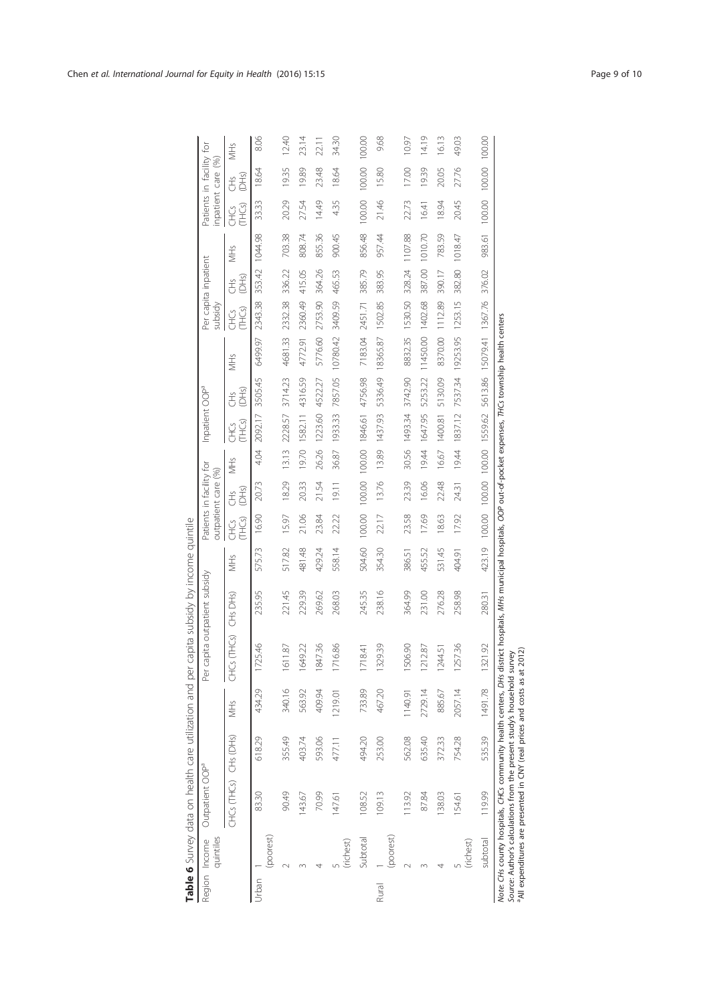|       | Region Income<br>quintiles | Outpatient OOP <sup>a</sup>                                                                                                                                                                                                                                                                                                        |        |                 | Per         | capita outpatient subsidy |                 |                | Patients in facility for<br>outpatient care (%) |       | Inpatient OOP <sup>a</sup> |             |                          | subsidy                  | Per capita inpatient |         | inpatient care (%)    | Patients in facility for |        |
|-------|----------------------------|------------------------------------------------------------------------------------------------------------------------------------------------------------------------------------------------------------------------------------------------------------------------------------------------------------------------------------|--------|-----------------|-------------|---------------------------|-----------------|----------------|-------------------------------------------------|-------|----------------------------|-------------|--------------------------|--------------------------|----------------------|---------|-----------------------|--------------------------|--------|
|       |                            | CHCs (THCs) CHs (DHs)                                                                                                                                                                                                                                                                                                              |        | MH <sub>S</sub> | CHCs (THCs) | CHS DHS)                  | MH <sub>S</sub> | (THCs)<br>CHCS | (DHS)<br><b>HD</b>                              | NHS   | (THCs)<br>CHC <sub>S</sub> | (DHs)<br>JU | NIHS                     | <b>CS</b><br><b>CHCS</b> | (DHs)<br>Ë           | NHS     | (THCs)<br><b>CHCS</b> | (DH)<br>Ű                | NHS    |
| Urban | (poorest)                  | 83.30                                                                                                                                                                                                                                                                                                                              | 618.29 | 434.29          | 725.46      | 235.95                    | 575.73          | 16.90          | 20.73                                           | 4.04  | 2092.17                    | 3505.45     | 6499.97                  | 2343.38                  | 353.42               | 1044.98 | 33.33                 | 18.64                    | 8.06   |
|       |                            | 90.49                                                                                                                                                                                                                                                                                                                              | 355.49 | 340.16          | 611.87      | 221.45                    | 517.82          | 15.97          | 18.29                                           | 13.13 | 2228.57                    | 3714.23     | 4681.33                  | 2332.38                  | 336.22               | 703.38  | 20.29                 | 19.35                    | 12.40  |
|       |                            | 143.67                                                                                                                                                                                                                                                                                                                             | 403.74 | 563.92          | 649.22      | 229.39                    | 481.48          | 21.06          | 20.33                                           | 19.70 | 1582.11                    | 4316.59     | 4772.91                  | 2360.49                  | 415.05               | 808.74  | 27.54                 | 19.89                    | 23.14  |
|       |                            | 70.99                                                                                                                                                                                                                                                                                                                              | 593.06 | 409.94          | 847.36      | 269.62                    | 429.24          | 23.84          | 21.54                                           | 26.26 | 1223.60                    | 4522.27     | 5776.60                  | 2753.90                  | 364.26               | 855.36  | 14.49                 | 23.48                    | 22.11  |
|       | (richest)                  | 147.61                                                                                                                                                                                                                                                                                                                             | 477.11 | 1219.01         | 716.86      | 268.03                    | 558.14          | 22.22          | 19.11                                           | 36.87 | 1933.33                    | 7857.05     | 10780.42                 | 3409.59                  | 465.53               | 900.45  | 4.35                  | 18.64                    | 34.30  |
|       | Subtotal                   | 108.52                                                                                                                                                                                                                                                                                                                             | 494.20 | 733.89          | 718.41      | 245.35                    | 504.60          | 100.00         | 100.00 100.00 1846.61                           |       |                            | 4756.98     | 7183.04                  | 2451.71                  | 385.79               | 856.48  | 100.00                | 100.00                   | 100.00 |
| Rural | (poorest)                  | 109.13                                                                                                                                                                                                                                                                                                                             | 253.00 | 467.20          | 329.39      | 238.16                    | 354.30          | 22.17          | 13.76                                           | 13.89 | 1437.93                    | 5336.49     | 18365.87                 | 1502.85                  | 383.95               | 957.44  | 21.46                 | 15.80                    | 9.68   |
|       |                            | 113.92                                                                                                                                                                                                                                                                                                                             | 562.08 | 1140.91         | 506.90      | 364.99                    | 386.51          | 23.58          | 23.39                                           |       | 30.56 1493.34              | 3742.90     | 8832.35                  | 1530.50                  | 328.24               | 1107.88 | 22.73                 | 17.00                    | 10.97  |
|       |                            | 87.84                                                                                                                                                                                                                                                                                                                              | 635.40 | 2729.14         | 212.87      | 231.00                    | 455.52          | 17.69          | 16.06                                           | 1944  | 1647.95                    | 5253.22     |                          | 11450.00 1402.68         | 387.00               | 1010.70 | 16.41                 | 19.39                    | 14.19  |
|       |                            | 138.03                                                                                                                                                                                                                                                                                                                             | 372.33 | 885.67          | 244.51      | 276.28                    | 531.45          | 18.63          | 22.48                                           |       | 16.67 1400.81              | 5130.09     |                          | 8370.00 1112.89          | 390.17               | 783.59  | 18.94                 | 20.05                    | 16.13  |
|       | (richest)                  | 154.61                                                                                                                                                                                                                                                                                                                             | 754.28 | 2057.14         | 257.36      | 258.98                    | 404.91          | 17.92          | 24.31                                           |       | 1944 1837.12               |             | 7537.34 19253.95         | 1253.15                  | 382.80               | 1018.47 | 20.45                 | 27.76                    | 49.03  |
|       | subtotal                   | 119.99                                                                                                                                                                                                                                                                                                                             | 535.39 | 1491.78         | 321.92      | 280.31                    |                 |                | 423.19 100.00 100.00 100.00 1559.62             |       |                            |             | 5613.86 15079.41 1367.76 |                          | 376.02               | 983.61  | 100.00                | 100.00                   | 100.00 |
|       |                            | Note: CHs county hospitals, CHCs community health centers, DHs district hospitals, MHs municipal hospitals, OOP out-of-pocket expenses, THCs township health centers<br>Source: Author's calculations from the present study's household survey<br><sup>a</sup> All expenditures are presented in CNY (real prices and costs as at |        |                 | 2012)       |                           |                 |                |                                                 |       |                            |             |                          |                          |                      |         |                       |                          |        |

Table 6 Survey data on health care utilization and per capita subsidy by income quintile<br>Region Income Outpatient OOP<sup>3</sup> Per capita outpatient subsidy Patients Table 6 Survey data on health care utilization and per capita subsidy by income quintile